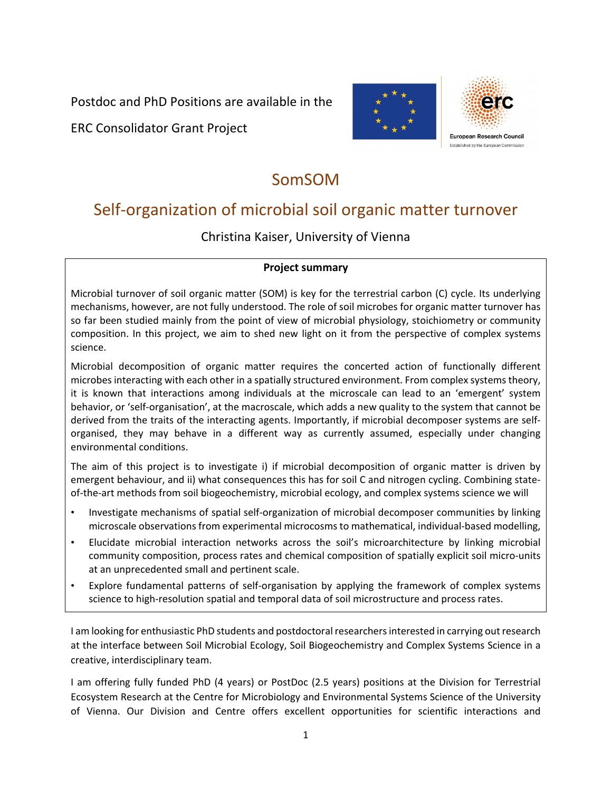Postdoc and PhD Positions are available in the

ERC Consolidator Grant Project



## SomSOM

# Self-organization of microbial soil organic matter turnover

Christina Kaiser, University of Vienna

#### **Project summary**

Microbial turnover of soil organic matter (SOM) is key for the terrestrial carbon (C) cycle. Its underlying mechanisms, however, are not fully understood. The role of soil microbes for organic matter turnover has so far been studied mainly from the point of view of microbial physiology, stoichiometry or community composition. In this project, we aim to shed new light on it from the perspective of complex systems science.

Microbial decomposition of organic matter requires the concerted action of functionally different microbes interacting with each other in a spatially structured environment. From complex systems theory, it is known that interactions among individuals at the microscale can lead to an 'emergent' system behavior, or 'self-organisation', at the macroscale, which adds a new quality to the system that cannot be derived from the traits of the interacting agents. Importantly, if microbial decomposer systems are selforganised, they may behave in a different way as currently assumed, especially under changing environmental conditions.

The aim of this project is to investigate i) if microbial decomposition of organic matter is driven by emergent behaviour, and ii) what consequences this has for soil C and nitrogen cycling. Combining stateof-the-art methods from soil biogeochemistry, microbial ecology, and complex systems science we will

- Investigate mechanisms of spatial self-organization of microbial decomposer communities by linking microscale observations from experimental microcosms to mathematical, individual-based modelling,
- Elucidate microbial interaction networks across the soil's microarchitecture by linking microbial community composition, process rates and chemical composition of spatially explicit soil micro-units at an unprecedented small and pertinent scale.
- Explore fundamental patterns of self-organisation by applying the framework of complex systems science to high-resolution spatial and temporal data of soil microstructure and process rates.

I am looking for enthusiastic PhD students and postdoctoral researchers interested in carrying out research at the interface between Soil Microbial Ecology, Soil Biogeochemistry and Complex Systems Science in a creative, interdisciplinary team.

I am offering fully funded PhD (4 years) or PostDoc (2.5 years) positions at the Division for Terrestrial Ecosystem Research at the Centre for Microbiology and Environmental Systems Science of the University of Vienna. Our Division and Centre offers excellent opportunities for scientific interactions and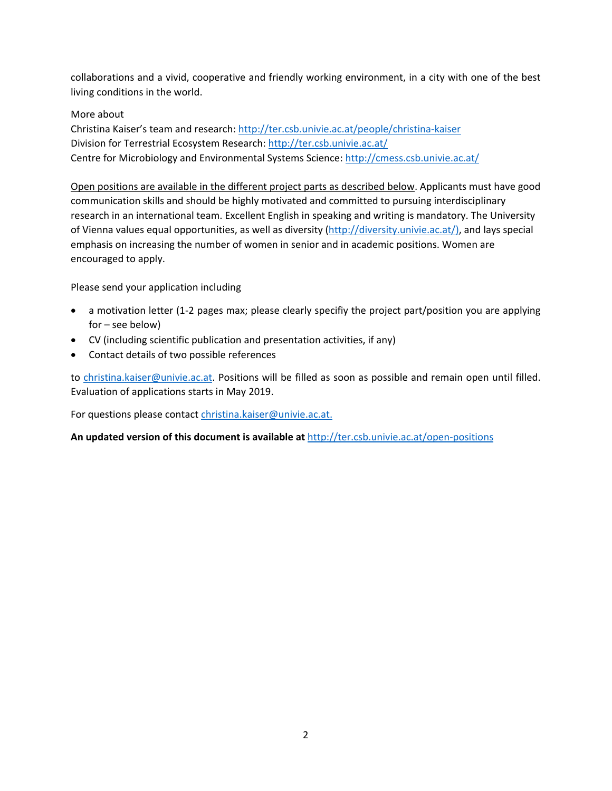collaborations and a vivid, cooperative and friendly working environment, in a city with one of the best living conditions in the world.

#### More about

Christina Kaiser's team and research[: http://ter.csb.univie.ac.at/people/christina-kaiser](http://ter.csb.univie.ac.at/people/christina-kaiser) Division for Terrestrial Ecosystem Research: <http://ter.csb.univie.ac.at/> Centre for Microbiology and Environmental Systems Science[: http://cmess.csb.univie.ac.at/](http://cmess.csb.univie.ac.at/)

Open positions are available in the different project parts as described below. Applicants must have good communication skills and should be highly motivated and committed to pursuing interdisciplinary research in an international team. Excellent English in speaking and writing is mandatory. The University of Vienna values equal opportunities, as well as diversity [\(http://diversity.univie.ac.at/\),](http://diversity.univie.ac.at/)) and lays special emphasis on increasing the number of women in senior and in academic positions. Women are encouraged to apply.

Please send your application including

- a motivation letter (1-2 pages max; please clearly specifiy the project part/position you are applying for – see below)
- CV (including scientific publication and presentation activities, if any)
- Contact details of two possible references

to [christina.kaiser@univie.ac.at.](mailto:christina.kaiser@univie.ac.at) Positions will be filled as soon as possible and remain open until filled. Evaluation of applications starts in May 2019.

For questions please contact [christina.kaiser@univie.ac.at.](mailto:christina.kaiser@univie.ac.at)

**An updated version of this document is available at** <http://ter.csb.univie.ac.at/open-positions>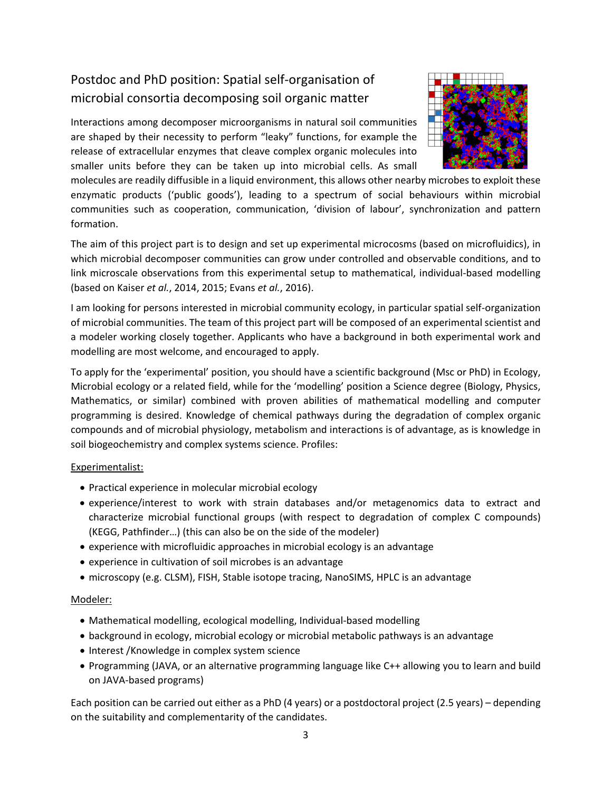## Postdoc and PhD position: Spatial self-organisation of microbial consortia decomposing soil organic matter

Interactions among decomposer microorganisms in natural soil communities are shaped by their necessity to perform "leaky" functions, for example the release of extracellular enzymes that cleave complex organic molecules into smaller units before they can be taken up into microbial cells. As small



molecules are readily diffusible in a liquid environment, this allows other nearby microbes to exploit these enzymatic products ('public goods'), leading to a spectrum of social behaviours within microbial communities such as cooperation, communication, 'division of labour', synchronization and pattern formation.

The aim of this project part is to design and set up experimental microcosms (based on microfluidics), in which microbial decomposer communities can grow under controlled and observable conditions, and to link microscale observations from this experimental setup to mathematical, individual-based modelling (based on Kaiser *et al.*, 2014, 2015; Evans *et al.*, 2016).

I am looking for persons interested in microbial community ecology, in particular spatial self-organization of microbial communities. The team of this project part will be composed of an experimental scientist and a modeler working closely together. Applicants who have a background in both experimental work and modelling are most welcome, and encouraged to apply.

To apply for the 'experimental' position, you should have a scientific background (Msc or PhD) in Ecology, Microbial ecology or a related field, while for the 'modelling' position a Science degree (Biology, Physics, Mathematics, or similar) combined with proven abilities of mathematical modelling and computer programming is desired. Knowledge of chemical pathways during the degradation of complex organic compounds and of microbial physiology, metabolism and interactions is of advantage, as is knowledge in soil biogeochemistry and complex systems science. Profiles:

#### Experimentalist:

- Practical experience in molecular microbial ecology
- experience/interest to work with strain databases and/or metagenomics data to extract and characterize microbial functional groups (with respect to degradation of complex C compounds) (KEGG, Pathfinder…) (this can also be on the side of the modeler)
- experience with microfluidic approaches in microbial ecology is an advantage
- experience in cultivation of soil microbes is an advantage
- microscopy (e.g. CLSM), FISH, Stable isotope tracing, NanoSIMS, HPLC is an advantage

#### Modeler:

- Mathematical modelling, ecological modelling, Individual-based modelling
- background in ecology, microbial ecology or microbial metabolic pathways is an advantage
- Interest /Knowledge in complex system science
- Programming (JAVA, or an alternative programming language like C++ allowing you to learn and build on JAVA-based programs)

Each position can be carried out either as a PhD (4 years) or a postdoctoral project (2.5 years) – depending on the suitability and complementarity of the candidates.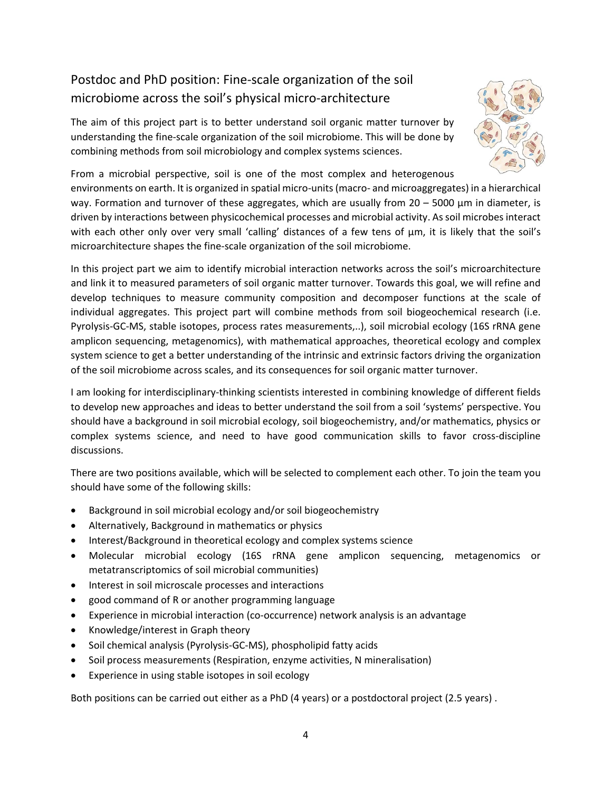## Postdoc and PhD position: Fine-scale organization of the soil microbiome across the soil's physical micro-architecture

The aim of this project part is to better understand soil organic matter turnover by understanding the fine-scale organization of the soil microbiome. This will be done by combining methods from soil microbiology and complex systems sciences.



From a microbial perspective, soil is one of the most complex and heterogenous

environments on earth. It is organized in spatial micro-units (macro- and microaggregates) in a hierarchical way. Formation and turnover of these aggregates, which are usually from  $20 - 5000$   $\mu$ m in diameter, is driven by interactions between physicochemical processes and microbial activity. As soil microbes interact with each other only over very small 'calling' distances of a few tens of  $\mu$ m, it is likely that the soil's microarchitecture shapes the fine-scale organization of the soil microbiome.

In this project part we aim to identify microbial interaction networks across the soil's microarchitecture and link it to measured parameters of soil organic matter turnover. Towards this goal, we will refine and develop techniques to measure community composition and decomposer functions at the scale of individual aggregates. This project part will combine methods from soil biogeochemical research (i.e. Pyrolysis-GC-MS, stable isotopes, process rates measurements,..), soil microbial ecology (16S rRNA gene amplicon sequencing, metagenomics), with mathematical approaches, theoretical ecology and complex system science to get a better understanding of the intrinsic and extrinsic factors driving the organization of the soil microbiome across scales, and its consequences for soil organic matter turnover.

I am looking for interdisciplinary-thinking scientists interested in combining knowledge of different fields to develop new approaches and ideas to better understand the soil from a soil 'systems' perspective. You should have a background in soil microbial ecology, soil biogeochemistry, and/or mathematics, physics or complex systems science, and need to have good communication skills to favor cross-discipline discussions.

There are two positions available, which will be selected to complement each other. To join the team you should have some of the following skills:

- Background in soil microbial ecology and/or soil biogeochemistry
- Alternatively, Background in mathematics or physics
- Interest/Background in theoretical ecology and complex systems science
- Molecular microbial ecology (16S rRNA gene amplicon sequencing, metagenomics or metatranscriptomics of soil microbial communities)
- Interest in soil microscale processes and interactions
- good command of R or another programming language
- Experience in microbial interaction (co-occurrence) network analysis is an advantage
- Knowledge/interest in Graph theory
- Soil chemical analysis (Pyrolysis-GC-MS), phospholipid fatty acids
- Soil process measurements (Respiration, enzyme activities, N mineralisation)
- Experience in using stable isotopes in soil ecology

Both positions can be carried out either as a PhD (4 years) or a postdoctoral project (2.5 years) .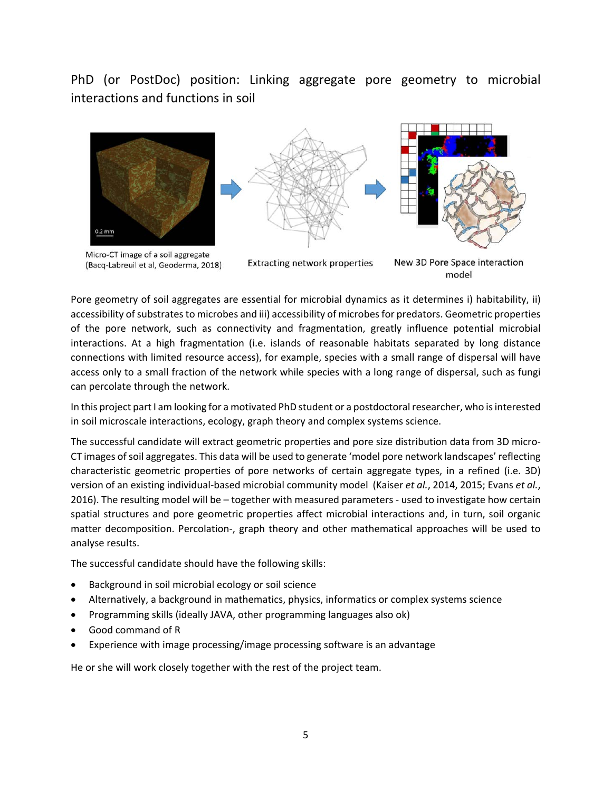PhD (or PostDoc) position: Linking aggregate pore geometry to microbial interactions and functions in soil



Micro-CT image of a soil aggregate (Bacq-Labreuil et al, Geoderma, 2018)

**Extracting network properties** 

New 3D Pore Space interaction model

Pore geometry of soil aggregates are essential for microbial dynamics as it determines i) habitability, ii) accessibility of substrates to microbes and iii) accessibility of microbes for predators. Geometric properties of the pore network, such as connectivity and fragmentation, greatly influence potential microbial interactions. At a high fragmentation (i.e. islands of reasonable habitats separated by long distance connections with limited resource access), for example, species with a small range of dispersal will have access only to a small fraction of the network while species with a long range of dispersal, such as fungi can percolate through the network.

In this project part I am looking for a motivated PhD student or a postdoctoral researcher, who is interested in soil microscale interactions, ecology, graph theory and complex systems science.

The successful candidate will extract geometric properties and pore size distribution data from 3D micro-CT images of soil aggregates. This data will be used to generate 'model pore network landscapes' reflecting characteristic geometric properties of pore networks of certain aggregate types, in a refined (i.e. 3D) version of an existing individual-based microbial community model (Kaiser *et al.*, 2014, 2015; Evans *et al.*, 2016). The resulting model will be – together with measured parameters - used to investigate how certain spatial structures and pore geometric properties affect microbial interactions and, in turn, soil organic matter decomposition. Percolation-, graph theory and other mathematical approaches will be used to analyse results.

The successful candidate should have the following skills:

- Background in soil microbial ecology or soil science
- Alternatively, a background in mathematics, physics, informatics or complex systems science
- Programming skills (ideally JAVA, other programming languages also ok)
- Good command of R
- Experience with image processing/image processing software is an advantage

He or she will work closely together with the rest of the project team.